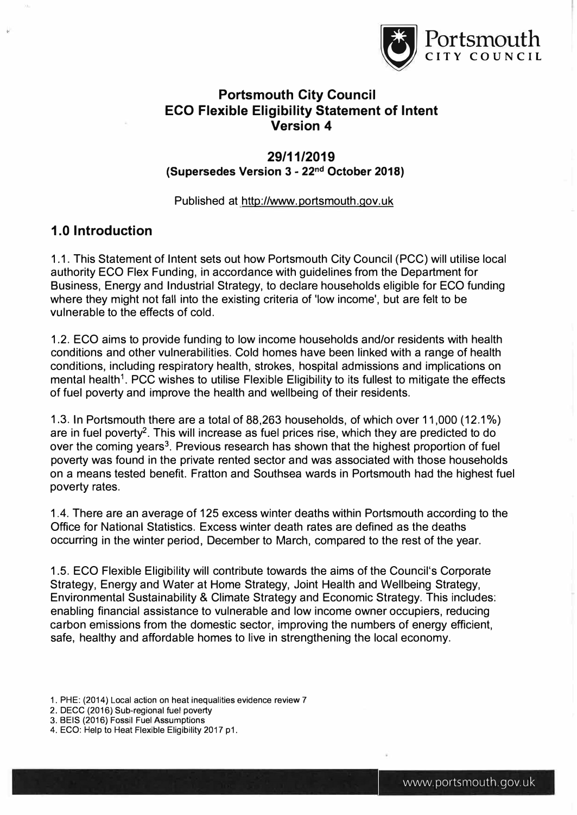

# **Portsmouth City Council ECO Flexible Eligibility Statement of Intent Version 4**

### **29/11/2019 (Supersedes Version 3 - 22nd October 2018)**

Published at <http://www>.portsmouth.gov.uk

# **1.0 Introduction**

1.1. This Statement of Intent sets out how Portsmouth City Council (PCC) will utilise local authority ECO Flex Funding, in accordance with guidelines from the Department for Business, Energy and Industrial Strategy, to declare households eligible for ECO funding where they might not fall into the existing criteria of 'low income', but are felt to be vulnerable to the effects of cold.

1.2. ECO aims to provide funding to low income households and/or residents with health conditions and other vulnerabilities. Cold homes have been linked with a range of health conditions, including respiratory health, strokes, hospital admissions and implications on mental health<sup>1</sup>. PCC wishes to utilise Flexible Eligibility to its fullest to mitigate the effects of fuel poverty and improve the health and wellbeing of their residents.

1.3. In Portsmouth there are a total of 88,263 households, of which over 11,000 (12.1%) are in fuel poverty**2.** This will increase as fuel prices rise, which they are predicted to do over the coming years**3.** Previous research has shown that the highest proportion of fuel poverty was found in the private rented sector and was associated with those households on a means tested benefit. Fratton and Southsea wards in Portsmouth had the highest fuel poverty rates.

1.4. There are an average of 125 excess winter deaths within Portsmouth according to the Office for National Statistics. Excess winter death rates are defined as the deaths occurring in the winter period, December to March, compared to the rest of the year.

1.5. ECO Flexible Eligibility will contribute towards the aims of the Council's Corporate Strategy, Energy and Water at Home Strategy, Joint Health and Wellbeing Strategy, Environmental Sustainability & Climate Strategy and Economic Strategy. This includes: enabling financial assistance to vulnerable and low income owner occupiers, reducing carbon emissions from the domestic sector, improving the numbers of energy efficient, safe, healthy and affordable homes to live in strengthening the local economy.

- 1. PHE: (2014) Local action on heat inequalities evidence review 7
- 2. DECC (2016) Sub-regional fuel poverty
- 3. BEIS (2016) Fossil Fuel Assumptions
- 4. ECO: Help to Heat Flexible Eligibility 2017 p1.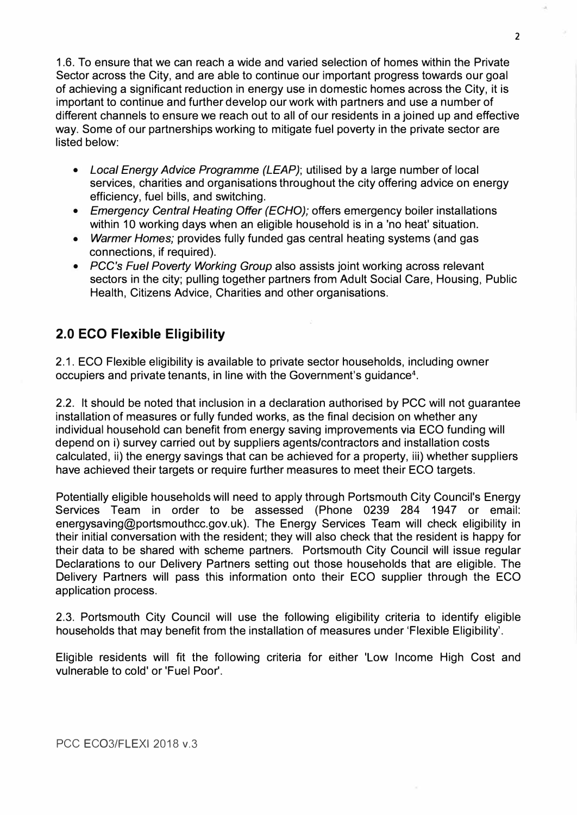1.6. To ensure that we can reach a wide and varied selection of homes within the Private Sector across the City, and are able to continue our important progress towards our goal of achieving a significant reduction in energy use in domestic homes across the City, it is important to continue and further develop our work with partners and use a number of different channels to ensure we reach out to all of our residents in a joined up and effective way. Some of our partnerships working to mitigate fuel poverty in the private sector are listed below:

- *Local Energy Advice Programme (LEAP);* utilised by a large number of local services, charities and organisations throughout the city offering advice on energy efficiency, fuel bills, and switching.
- *Emergency Central Heating Offer (ECHO);* offers emergency boiler installations within 10 working days when an eligible household is in a 'no heat' situation.
- *Warmer Homes;* provides fully funded gas central heating systems (and gas connections, if required).
- *PCC's Fuel Poverty Working Group* also assists joint working across relevant sectors in the city; pulling together partners from Adult Social Care, Housing, Public Health, Citizens Advice, Charities and other organisations.

# **2.0 ECO Flexible Eligibility**

2.1. ECO Flexible eligibility is available to private sector households, including owner occupiers and private tenants, in line with the Government's guidance**4•** 

2.2. It should be noted that inclusion in a declaration authorised by PCC will not guarantee installation of measures or fully funded works, as the final decision on whether any individual household can benefit from energy saving improvements via ECO funding will depend on i) survey carried out by suppliers agents/contractors and installation costs calculated, ii) the energy savings that can be achieved for a property, iii) whether suppliers have achieved their targets or require further measures to meet their ECO targets.

Potentially eligible households will need to apply through Portsmouth City Council's Energy Services Team in order to be assessed (Phone 0239 284 1947 or email: energysaving@portsmouthcc.gov.uk). The Energy Services Team will check eligibility in their initial conversation with the resident; they will also check that the resident is happy for their data to be shared with scheme partners. Portsmouth City Council will issue regular Declarations to our Delivery Partners setting out those households that are eligible. The Delivery Partners will pass this information onto their ECO supplier through the ECO application process.

2.3. Portsmouth City Council will use the following eligibility criteria to identify eligible households that may benefit from the installation of measures under 'Flexible Eligibility'.

Eligible residents will fit the following criteria for either 'Low Income High Cost and vulnerable to cold' or 'Fuel Poor'.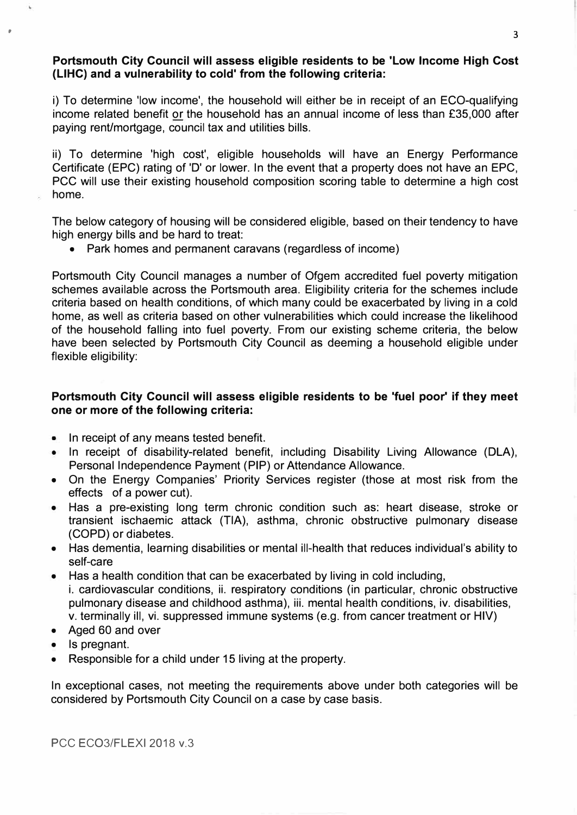#### **Portsmouth City Council will assess eligible residents to be 'Low Income High Cost (LIHC) and a vulnerability to cold' from the following criteria:**

i) To determine 'low income', the household will either be in receipt of an EGO-qualifying income related benefit or the household has an annual income of less than £35,000 after paying rent/mortgage, council tax and utilities bills.

ii) To determine 'high cost', eligible households will have an Energy Performance Certificate (EPC) rating of 'D' or lower. In the event that a property does not have an EPC, PCC will use their existing household composition scoring table to determine a high cost home.

The below category of housing will be considered eligible, based on their tendency to have high energy bills and be hard to treat:

• Park homes and permanent caravans (regardless of income)

Portsmouth City Council manages a number of Ofgem accredited fuel poverty mitigation schemes available across the Portsmouth area. Eligibility criteria for the schemes include criteria based on health conditions, of which many could be exacerbated by living in a cold home, as well as criteria based on other vulnerabilities which could increase the likelihood of the household falling into fuel poverty. From our existing scheme criteria, the below have been selected by Portsmouth City Council as deeming a household eligible under flexible eligibility:

#### **Portsmouth City Council will assess eligible residents to be 'fuel poor' if they meet one or more of the following criteria:**

- In receipt of any means tested benefit.
- In receipt of disability-related benefit, including Disability Living Allowance (DLA), Personal Independence Payment (PIP) or Attendance Allowance.
- On the Energy Companies' Priority Services register (those at most risk from the effects of a power cut).
- Has a pre-existing long term chronic condition such as: heart disease, stroke or transient ischaemic attack (TIA), asthma, chronic obstructive pulmonary disease (COPD) or diabetes.
- Has dementia, learning disabilities or mental ill-health that reduces individual's ability to self-care
- Has a health condition that can be exacerbated by living in cold including, i. cardiovascular conditions, ii. respiratory conditions (in particular, chronic obstructive pulmonary disease and childhood asthma), iii. mental health conditions, iv. disabilities, v. terminally ill, vi. suppressed immune systems (e.g. from cancer treatment or HIV)
- Aged 60 and over
- Is pregnant.
- Responsible for a child under 15 living at the property.

In exceptional cases, not meeting the requirements above under both categories will be considered by Portsmouth City Council on a case by case basis.

PCC ECO3/FLEXI 2018 v.3